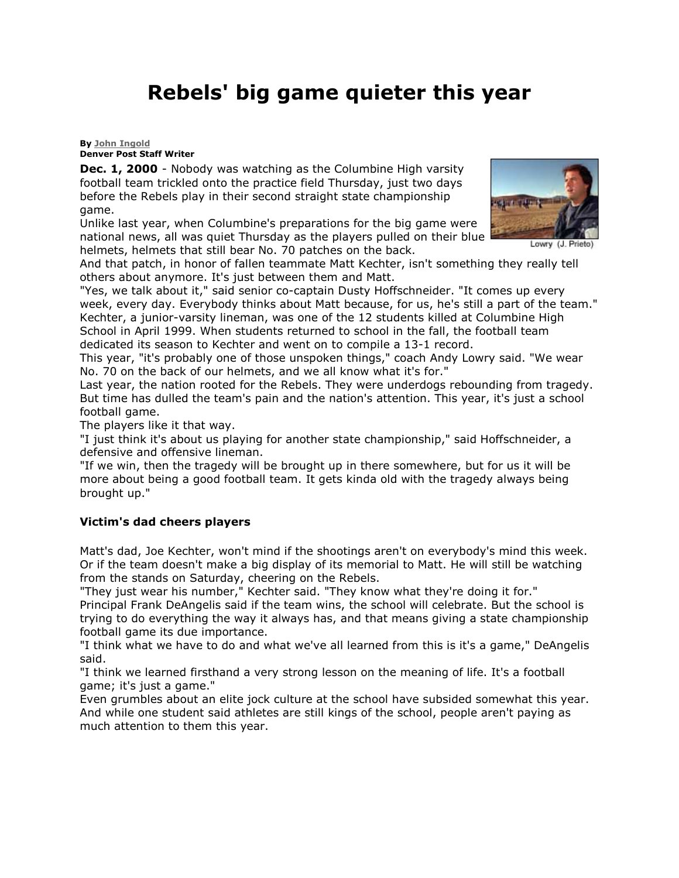## **Rebels' big game quieter this year**

## **By [John Ingold](mailto:sports@denverpost.com) Denver Post Staff Writer**

**Dec. 1, 2000** - Nobody was watching as the Columbine High varsity football team trickled onto the practice field Thursday, just two days before the Rebels play in their second straight state championship game.

Unlike last year, when Columbine's preparations for the big game were national news, all was quiet Thursday as the players pulled on their blue helmets, helmets that still bear No. 70 patches on the back.



Lowry (J. Prieto)

And that patch, in honor of fallen teammate Matt Kechter, isn't something they really tell others about anymore. It's just between them and Matt.

"Yes, we talk about it," said senior co-captain Dusty Hoffschneider. "It comes up every week, every day. Everybody thinks about Matt because, for us, he's still a part of the team." Kechter, a junior-varsity lineman, was one of the 12 students killed at Columbine High School in April 1999. When students returned to school in the fall, the football team dedicated its season to Kechter and went on to compile a 13-1 record.

This year, "it's probably one of those unspoken things," coach Andy Lowry said. "We wear No. 70 on the back of our helmets, and we all know what it's for."

Last year, the nation rooted for the Rebels. They were underdogs rebounding from tragedy. But time has dulled the team's pain and the nation's attention. This year, it's just a school football game.

The players like it that way.

"I just think it's about us playing for another state championship," said Hoffschneider, a defensive and offensive lineman.

"If we win, then the tragedy will be brought up in there somewhere, but for us it will be more about being a good football team. It gets kinda old with the tragedy always being brought up."

## **Victim's dad cheers players**

Matt's dad, Joe Kechter, won't mind if the shootings aren't on everybody's mind this week. Or if the team doesn't make a big display of its memorial to Matt. He will still be watching from the stands on Saturday, cheering on the Rebels.

"They just wear his number," Kechter said. "They know what they're doing it for." Principal Frank DeAngelis said if the team wins, the school will celebrate. But the school is trying to do everything the way it always has, and that means giving a state championship football game its due importance.

"I think what we have to do and what we've all learned from this is it's a game," DeAngelis said.

"I think we learned firsthand a very strong lesson on the meaning of life. It's a football game; it's just a game."

Even grumbles about an elite jock culture at the school have subsided somewhat this year. And while one student said athletes are still kings of the school, people aren't paying as much attention to them this year.